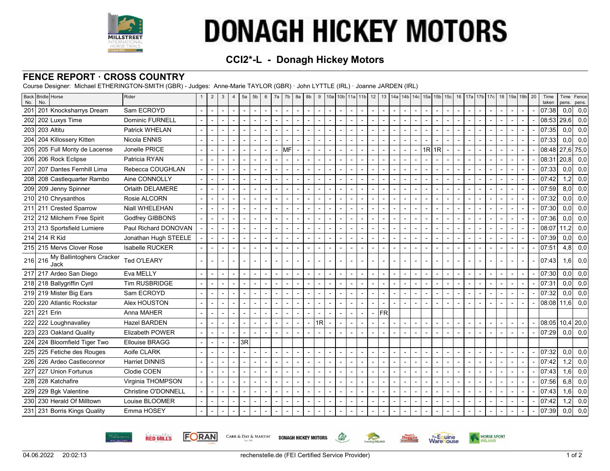

# **DONAGH HICKEY MOTORS**

## **CCI2\*-L - Donagh Hickey Motors**

### **FENCE REPORT · CROSS COUNTRY**

Course Designer: Michael ETHERINGTON-SMITH (GBR) - Judges: Anne-Marie TAYLOR (GBR) · John LYTTLE (IRL) · Joanne JARDEN (IRL)

| No. | Back Bridle Horse<br>No.                 | Rider                  | $\overline{2}$           | 3              | $\overline{4}$           | 5a | 5 <sub>b</sub>           | 6                        | 7a             | 7b   8a        |                          | 8b                       | 9      |                          | 10a   10b   11a   11b   12 |                          |           |                          | 13   14a   14b   14c   15a   15b   15c     |                |                |                          |                          |                          |                          |                          | 16   17a   17b   17c   18   19a   19b   20 |                          | Time<br>taken     | Time<br>pens.    | Fence<br>pens. |
|-----|------------------------------------------|------------------------|--------------------------|----------------|--------------------------|----|--------------------------|--------------------------|----------------|----------------|--------------------------|--------------------------|--------|--------------------------|----------------------------|--------------------------|-----------|--------------------------|--------------------------------------------|----------------|----------------|--------------------------|--------------------------|--------------------------|--------------------------|--------------------------|--------------------------------------------|--------------------------|-------------------|------------------|----------------|
| 201 | 201 Knocksharrys Dream                   | Sam ECROYD             | $\blacksquare$           | $\overline{a}$ | $\blacksquare$           |    |                          | $\overline{\phantom{a}}$ |                | $\sim$         |                          |                          |        | $\blacksquare$           |                            | $\overline{\phantom{a}}$ |           | $\overline{a}$           | $\blacksquare$                             |                |                | $\overline{a}$           |                          | $\overline{\phantom{a}}$ |                          |                          |                                            | $\overline{\phantom{a}}$ | 07:38             | 0,0              | 0,0            |
| 202 | 202 Luxys Time                           | <b>Dominic FURNELL</b> |                          |                |                          |    |                          |                          |                | $\blacksquare$ |                          |                          |        | $\overline{\phantom{a}}$ |                            | $\overline{\phantom{a}}$ |           |                          | $\overline{\phantom{a}}$                   |                |                |                          |                          | $\overline{\phantom{a}}$ |                          |                          |                                            | ÷,                       | 08:53             | 29,6             | 0,0            |
| 203 | 203 Altitu                               | Patrick WHELAN         |                          |                | $\overline{a}$           |    |                          |                          |                | $\sim$         |                          |                          |        |                          |                            | $\overline{\phantom{a}}$ |           |                          |                                            |                |                |                          |                          |                          |                          |                          |                                            | $\overline{a}$           | 07:35             | 0.01             | 0,0            |
|     | 204 Z04 Killossery Kitten                | Nicola ENNIS           |                          |                | $\overline{a}$           |    |                          |                          |                |                |                          |                          |        | $\blacksquare$           |                            | $\blacksquare$           |           |                          |                                            |                |                |                          |                          |                          |                          |                          |                                            | $\blacksquare$           | 07:33             | 0.01             | 0,0            |
|     | 205 205 Full Monty de Lacense            | Jonelle PRICE          |                          |                | $\blacksquare$           |    |                          | $\overline{\phantom{a}}$ |                | мғl            |                          |                          |        | $\blacksquare$           |                            | $\blacksquare$           |           |                          | $\blacksquare$                             | 1R             | 1R             | $\overline{\phantom{a}}$ |                          | $\blacksquare$           | $\overline{\phantom{a}}$ |                          |                                            | $\blacksquare$           | 08:48 27,6 75,0   |                  |                |
|     | 206 206 Rock Eclipse                     | Patricia RYAN          |                          |                |                          |    |                          |                          |                |                |                          |                          |        | $\overline{a}$           |                            | $\overline{a}$           |           |                          | $\overline{\phantom{a}}$                   |                |                |                          |                          |                          |                          |                          |                                            |                          | 08:31             | 20.8             | 0,0            |
| 207 | 207 Dantes Fernhill Lima                 | Rebecca COUGHLAN       | $\overline{a}$           |                | $\overline{a}$           |    |                          | $\overline{a}$           |                | $\overline{a}$ |                          |                          |        | $\overline{a}$           |                            | $\overline{a}$           |           |                          | $\overline{a}$                             |                |                | $\overline{a}$           |                          |                          |                          |                          |                                            | $\overline{a}$           | 07:33             | 0.01             | 0,0            |
|     | 208 208 Castlequarter Rambo              | Aine CONNOLLY          | $\overline{\phantom{a}}$ |                | $\blacksquare$           |    |                          | $\blacksquare$           |                | $\sim$         |                          |                          |        | $\overline{\phantom{a}}$ |                            | $\sim$                   |           | $\overline{\phantom{a}}$ | $\blacksquare$                             |                |                | $\blacksquare$           |                          | $\blacksquare$           |                          |                          |                                            | $\blacksquare$           | 07:42             | 1,2              | 0,0            |
|     | 209 209 Jenny Spinner                    | Orlaith DELAMERE       | $\overline{\phantom{a}}$ |                | $\overline{\phantom{a}}$ |    |                          | $\blacksquare$           | $\overline{a}$ | $\sim$         |                          |                          |        | $\blacksquare$           |                            | $\blacksquare$           |           | $\overline{\phantom{a}}$ | $\blacksquare$                             |                |                | $\blacksquare$           |                          | $\overline{\phantom{a}}$ |                          |                          |                                            | $\blacksquare$           | 07:59             | 8.0 <sub>l</sub> | 0,0            |
|     | 210 210 Chrysanthos                      | Rosie ALCORN           | $\overline{a}$           |                | $\blacksquare$           |    |                          |                          |                | $\sim$         |                          |                          |        | L,                       |                            | $\blacksquare$           |           | $\overline{a}$           | $\overline{\phantom{a}}$                   |                |                |                          |                          | $\blacksquare$           |                          |                          |                                            |                          | 07:32             | 0.01             | 0,0            |
|     | 211 211 Crested Sparrow                  | Niall WHELEHAN         |                          |                |                          |    |                          |                          |                | $\blacksquare$ |                          |                          |        |                          |                            |                          |           |                          |                                            |                |                |                          |                          |                          |                          |                          |                                            |                          | 07:30             | 0,0              | 0,0            |
|     | 212 212 Milchem Free Spirit              | Godfrey GIBBONS        |                          |                |                          |    |                          | $\blacksquare$           |                | $\sim$         |                          |                          |        | $\blacksquare$           |                            | $\blacksquare$           |           | $\blacksquare$           | $\blacksquare$                             |                |                | $\blacksquare$           |                          | $\overline{\phantom{a}}$ |                          |                          |                                            | $\blacksquare$           | 07:36             | 0.01             | 0,0            |
|     | 213 213 Sportsfield Lumiere              | Paul Richard DONOVAN   |                          |                |                          |    |                          |                          |                | $\sim$         |                          |                          |        | $\blacksquare$           |                            | $\blacksquare$           |           |                          | $\overline{a}$                             |                |                |                          |                          |                          |                          |                          |                                            | $\overline{a}$           | 08:07             | 11.2             | 0,0            |
|     | 214 214 R Kid                            | Jonathan Hugh STEELE   |                          |                |                          |    |                          |                          |                | $\blacksquare$ |                          |                          |        |                          |                            | $\overline{a}$           |           |                          |                                            |                |                |                          |                          |                          |                          |                          |                                            |                          | 07:39             | 0.01             | 0,0            |
|     | 215 215 Mervs Clover Rose                | <b>Isabelle RUCKER</b> |                          |                |                          |    |                          |                          |                |                |                          |                          |        |                          |                            |                          |           |                          |                                            |                |                |                          |                          |                          |                          |                          |                                            |                          | 07:51             | 4,8              | 0,0            |
|     | 216 216 My Ballintoghers Cracker<br>Jack | Ted O'LEARY            |                          |                |                          |    |                          |                          |                |                |                          |                          |        |                          |                            |                          |           |                          |                                            |                |                |                          |                          |                          |                          |                          |                                            |                          | 07:43             | 1,6              | 0,0            |
|     | 217 217 Ardeo San Diego                  | Eva MELLY              |                          |                |                          |    |                          |                          |                |                |                          |                          |        |                          |                            |                          |           |                          |                                            |                |                |                          |                          |                          |                          |                          |                                            |                          | 07:30             | 0,0              | 0,0            |
|     | 218 218 Ballygriffin Cyril               | <b>Tim RUSBRIDGE</b>   |                          |                | $\overline{\phantom{a}}$ |    |                          | $\overline{\phantom{a}}$ |                | $\sim$         |                          |                          |        | $\overline{\phantom{a}}$ |                            | $\overline{a}$           |           | $\overline{\phantom{a}}$ | $\blacksquare$                             |                |                | $\overline{\phantom{a}}$ |                          | $\overline{\phantom{a}}$ |                          |                          |                                            | $\blacksquare$           | 07:31             | 0.0              | 0,0            |
|     | 219 219 Mister Big Ears                  | Sam ECROYD             |                          |                | $\blacksquare$           |    |                          |                          |                | $\sim$         |                          | $\overline{\phantom{0}}$ |        | $\blacksquare$           |                            | $\blacksquare$           |           |                          | $\blacksquare$                             |                |                |                          |                          | $\blacksquare$           |                          |                          |                                            |                          | 07:32             | 0.01             | 0,0            |
|     | 220 Atlantic Rockstar                    | Alex HOUSTON           |                          |                |                          |    |                          |                          |                | $\blacksquare$ |                          |                          |        |                          |                            |                          |           |                          |                                            |                |                |                          |                          |                          |                          |                          |                                            |                          | 08:08             | l 11.6l          | 0,0            |
| 221 | 221 Erin                                 | Anna MAHER             |                          |                |                          |    |                          |                          |                |                |                          |                          |        | $\blacksquare$           |                            | $\blacksquare$           | <b>FR</b> |                          |                                            |                |                |                          |                          |                          |                          |                          |                                            |                          |                   |                  |                |
|     | 222 Loughnavalley                        | Hazel BARDEN           |                          |                | $\overline{a}$           |    |                          | $\overline{\phantom{a}}$ |                | $\sim$         | $\overline{\phantom{a}}$ |                          | 1R     | $\blacksquare$           |                            | $\blacksquare$           |           |                          | $\blacksquare$                             |                |                | $\overline{\phantom{a}}$ |                          | $\overline{\phantom{a}}$ | $\overline{\phantom{a}}$ |                          |                                            | $\overline{\phantom{a}}$ | $08:05$ 10,4 20,0 |                  |                |
|     | 223 223 Oakland Quality                  | <b>Elizabeth POWER</b> |                          |                |                          |    |                          |                          |                |                |                          |                          |        |                          |                            |                          |           |                          | $\blacksquare$                             |                |                |                          |                          |                          |                          |                          |                                            |                          | 07:29             | 0,0              | 0,0            |
| 224 | 224 Bloomfield Tiger Two                 | <b>Ellouise BRAGG</b>  |                          |                | $\blacksquare$           | 3R |                          |                          |                |                |                          |                          |        |                          |                            |                          |           |                          |                                            |                |                |                          |                          |                          |                          |                          |                                            |                          |                   |                  |                |
|     | 225 225 Fetiche des Rouges               | Aoife CLARK            | $\overline{\phantom{a}}$ | $\overline{a}$ |                          |    |                          | $\blacksquare$           |                | $\sim$         |                          |                          | $\sim$ | $\blacksquare$           | $\overline{a}$             | $\blacksquare$           |           | $\blacksquare$           | $\blacksquare$                             |                | $\blacksquare$ | $\sim$                   |                          | $\blacksquare$           |                          | $\overline{\phantom{a}}$ |                                            | $\blacksquare$           | 07:32             | 0,0              | 0,0            |
| 226 | 226 Ardeo Castleconnor                   | <b>Harriet DINNIS</b>  | $\overline{\phantom{a}}$ |                | $\blacksquare$           | Ē, | $\overline{\phantom{a}}$ | $\blacksquare$           | $\overline{a}$ | $\sim$         | $\blacksquare$           | $\blacksquare$           | $\sim$ | $\blacksquare$           | $\overline{\phantom{a}}$   | $\blacksquare$           |           | $\overline{\phantom{a}}$ | $\blacksquare$<br>$\overline{\phantom{0}}$ | $\overline{a}$ | $\blacksquare$ | $\blacksquare$           | $\overline{\phantom{a}}$ | $\overline{\phantom{a}}$ | $\overline{\phantom{a}}$ | $\overline{\phantom{a}}$ |                                            | $\blacksquare$           | 07:42             | $\mathbf{.2}$    | 0,0            |
| 227 | 227 Union Fortunus                       | Clodie COEN            | $\overline{\phantom{a}}$ |                | $\overline{\phantom{a}}$ |    |                          |                          |                | $\sim$         |                          |                          |        | ÷                        |                            | $\overline{a}$           |           |                          | $\overline{\phantom{a}}$                   |                |                |                          |                          |                          |                          |                          |                                            |                          | 07:43             | 1.6              | 0,0            |
|     | 228 Satchafire                           | Virginia THOMPSON      |                          |                |                          |    |                          |                          |                | $\sim$         |                          |                          |        |                          |                            |                          |           |                          |                                            |                |                |                          |                          | $\blacksquare$           |                          |                          |                                            | $\overline{\phantom{a}}$ | 07:56             | 6.8              | 0,0            |
|     | 229 229 Bgk Valentine                    | Christine O'DONNELL    |                          |                | $\blacksquare$           |    |                          | $\overline{\phantom{a}}$ |                | $\sim$         |                          | $\blacksquare$           |        | $\blacksquare$           |                            | $\blacksquare$           |           | $\blacksquare$           | $\blacksquare$                             |                | $\sim$         | $\overline{\phantom{a}}$ |                          | $\overline{\phantom{a}}$ |                          |                          |                                            | $\blacksquare$           | 07:43             | 1,6              | 0,0            |
|     | 230 230 Herald Of Milltown               | Louise BLOOMER         |                          |                |                          |    |                          |                          |                | $\sim$         |                          |                          |        | $\blacksquare$           |                            |                          |           |                          | $\overline{\phantom{a}}$                   |                |                |                          |                          | $\overline{\phantom{a}}$ |                          |                          |                                            | $\overline{\phantom{a}}$ | 07:42             | 1,2              | 0,0            |
|     | 231 231 Borris Kings Quality             | Emma HOSEY             |                          |                |                          |    |                          |                          | $\blacksquare$ | $\blacksquare$ |                          |                          |        |                          |                            |                          |           |                          |                                            |                |                |                          |                          |                          |                          |                          |                                            |                          | 07:39             | 0.01             | 0,0            |

**RED MILLS** Milletres

FORAN CARR & DAY & MARTIN' **DONAGH HICKEY MOTORS** 



65

**Wenting IRELAND** 

**Warehouse** 

Noel C.<br>Duggan

**HORSE SPORT** 

ELAND